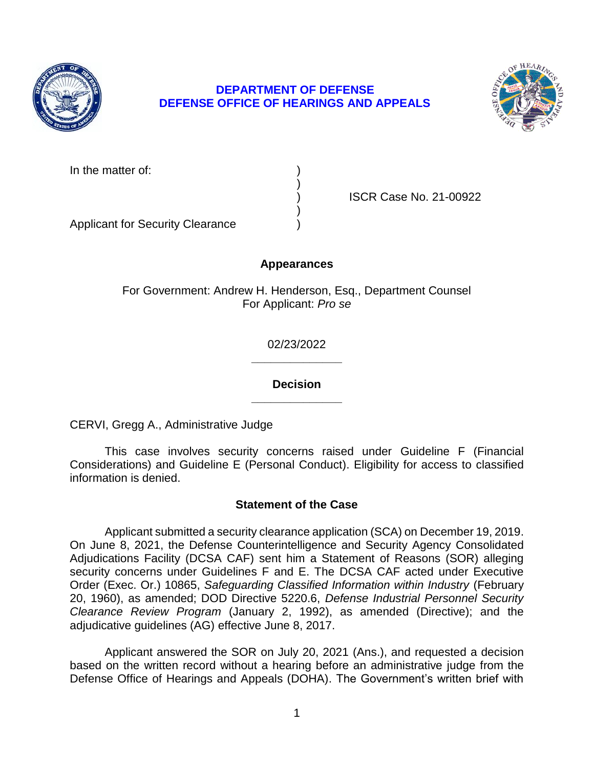

# **DEPARTMENT OF DEFENSE DEFENSE OFFICE OF HEARINGS AND APPEALS**



| In the matter of: |  |
|-------------------|--|
|                   |  |

) ISCR Case No. 21-00922

Applicant for Security Clearance )

## **Appearances**

)

)

For Government: Andrew H. Henderson, Esq., Department Counsel For Applicant: *Pro se* 

> **\_\_\_\_\_\_\_\_\_\_\_\_\_\_**  02/23/2022

> **\_\_\_\_\_\_\_\_\_\_\_\_\_\_ Decision**

CERVI, Gregg A., Administrative Judge

 This case involves security concerns raised under Guideline F (Financial Considerations) and Guideline E (Personal Conduct). Eligibility for access to classified information is denied.

# **Statement of the Case**

 Applicant submitted a security clearance application (SCA) on December 19, 2019. On June 8, 2021, the Defense Counterintelligence and Security Agency Consolidated Order (Exec. Or.) 10865, *Safeguarding Classified Information within Industry* (February  *Clearance Review Program* (January 2, 1992), as amended (Directive); and the Adjudications Facility (DCSA CAF) sent him a Statement of Reasons (SOR) alleging security concerns under Guidelines F and E. The DCSA CAF acted under Executive 20, 1960), as amended; DOD Directive 5220.6, *Defense Industrial Personnel Security*  adjudicative guidelines (AG) effective June 8, 2017.

 Applicant answered the SOR on July 20, 2021 (Ans.), and requested a decision based on the written record without a hearing before an administrative judge from the Defense Office of Hearings and Appeals (DOHA). The Government's written brief with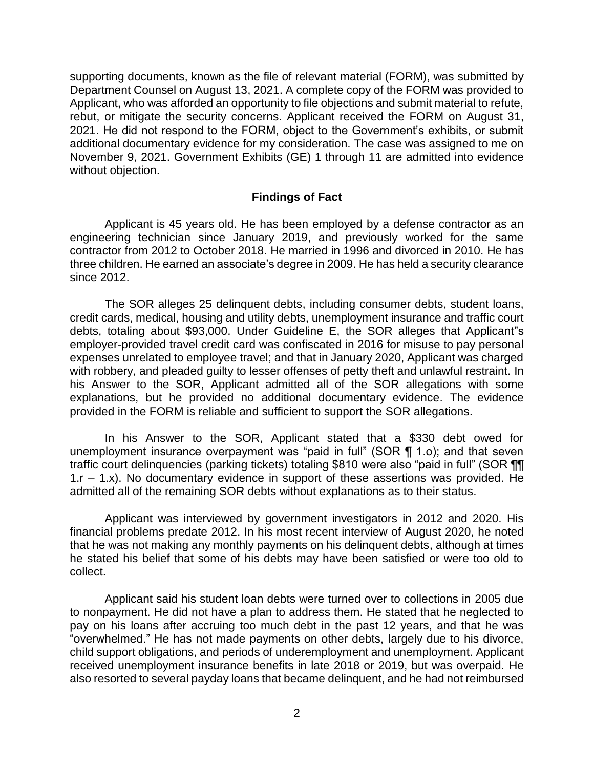supporting documents, known as the file of relevant material (FORM), was submitted by Department Counsel on August 13, 2021. A complete copy of the FORM was provided to Applicant, who was afforded an opportunity to file objections and submit material to refute, rebut, or mitigate the security concerns. Applicant received the FORM on August 31, 2021. He did not respond to the FORM, object to the Government's exhibits, or submit additional documentary evidence for my consideration. The case was assigned to me on November 9, 2021. Government Exhibits (GE) 1 through 11 are admitted into evidence without objection.

#### **Findings of Fact**

 Applicant is 45 years old. He has been employed by a defense contractor as an engineering technician since January 2019, and previously worked for the same three children. He earned an associate's degree in 2009. He has held a security clearance contractor from 2012 to October 2018. He married in 1996 and divorced in 2010. He has since 2012.

 credit cards, medical, housing and utility debts, unemployment insurance and traffic court debts, totaling about \$93,000. Under Guideline E, the SOR alleges that Applicant"s employer-provided travel credit card was confiscated in 2016 for misuse to pay personal expenses unrelated to employee travel; and that in January 2020, Applicant was charged with robbery, and pleaded guilty to lesser offenses of petty theft and unlawful restraint. In his Answer to the SOR, Applicant admitted all of the SOR allegations with some explanations, but he provided no additional documentary evidence. The evidence The SOR alleges 25 delinquent debts, including consumer debts, student loans, provided in the FORM is reliable and sufficient to support the SOR allegations.

In his Answer to the SOR, Applicant stated that a \$330 debt owed for unemployment insurance overpayment was "paid in full" (SOR ¶ 1.o); and that seven traffic court delinquencies (parking tickets) totaling \$810 were also "paid in full" (SOR ¶¶ 1.r – 1.x). No documentary evidence in support of these assertions was provided. He admitted all of the remaining SOR debts without explanations as to their status.

 Applicant was interviewed by government investigators in 2012 and 2020. His financial problems predate 2012. In his most recent interview of August 2020, he noted that he was not making any monthly payments on his delinquent debts, although at times he stated his belief that some of his debts may have been satisfied or were too old to collect.

 Applicant said his student loan debts were turned over to collections in 2005 due to nonpayment. He did not have a plan to address them. He stated that he neglected to pay on his loans after accruing too much debt in the past 12 years, and that he was "overwhelmed." He has not made payments on other debts, largely due to his divorce, child support obligations, and periods of underemployment and unemployment. Applicant received unemployment insurance benefits in late 2018 or 2019, but was overpaid. He also resorted to several payday loans that became delinquent, and he had not reimbursed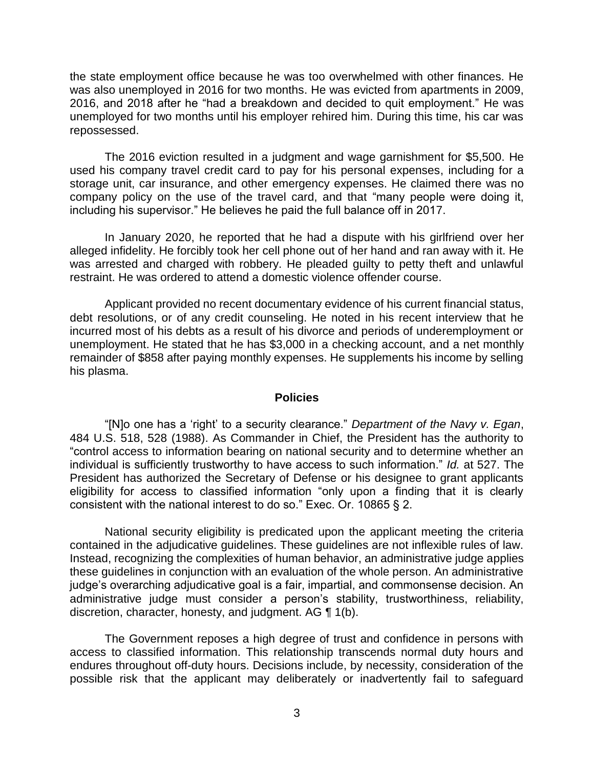the state employment office because he was too overwhelmed with other finances. He was also unemployed in 2016 for two months. He was evicted from apartments in 2009, 2016, and 2018 after he "had a breakdown and decided to quit employment." He was unemployed for two months until his employer rehired him. During this time, his car was repossessed.

 The 2016 eviction resulted in a judgment and wage garnishment for \$5,500. He used his company travel credit card to pay for his personal expenses, including for a company policy on the use of the travel card, and that "many people were doing it, including his supervisor." He believes he paid the full balance off in 2017. storage unit, car insurance, and other emergency expenses. He claimed there was no

 In January 2020, he reported that he had a dispute with his girlfriend over her alleged infidelity. He forcibly took her cell phone out of her hand and ran away with it. He was arrested and charged with robbery. He pleaded guilty to petty theft and unlawful restraint. He was ordered to attend a domestic violence offender course.

 Applicant provided no recent documentary evidence of his current financial status, debt resolutions, or of any credit counseling. He noted in his recent interview that he incurred most of his debts as a result of his divorce and periods of underemployment or unemployment. He stated that he has \$3,000 in a checking account, and a net monthly remainder of \$858 after paying monthly expenses. He supplements his income by selling his plasma.

#### **Policies**

 "[N]o one has a 'right' to a security clearance." *Department of the Navy v. Egan*, 484 U.S. 518, 528 (1988). As Commander in Chief, the President has the authority to "control access to information bearing on national security and to determine whether an individual is sufficiently trustworthy to have access to such information." *Id.* at 527. The President has authorized the Secretary of Defense or his designee to grant applicants eligibility for access to classified information "only upon a finding that it is clearly consistent with the national interest to do so." Exec. Or. 10865 § 2.

 National security eligibility is predicated upon the applicant meeting the criteria contained in the adjudicative guidelines. These guidelines are not inflexible rules of law. Instead, recognizing the complexities of human behavior, an administrative judge applies these guidelines in conjunction with an evaluation of the whole person. An administrative administrative judge must consider a person's stability, trustworthiness, reliability, discretion, character, honesty, and judgment. AG ¶ 1(b). judge's overarching adjudicative goal is a fair, impartial, and commonsense decision. An

 The Government reposes a high degree of trust and confidence in persons with access to classified information. This relationship transcends normal duty hours and endures throughout off-duty hours. Decisions include, by necessity, consideration of the possible risk that the applicant may deliberately or inadvertently fail to safeguard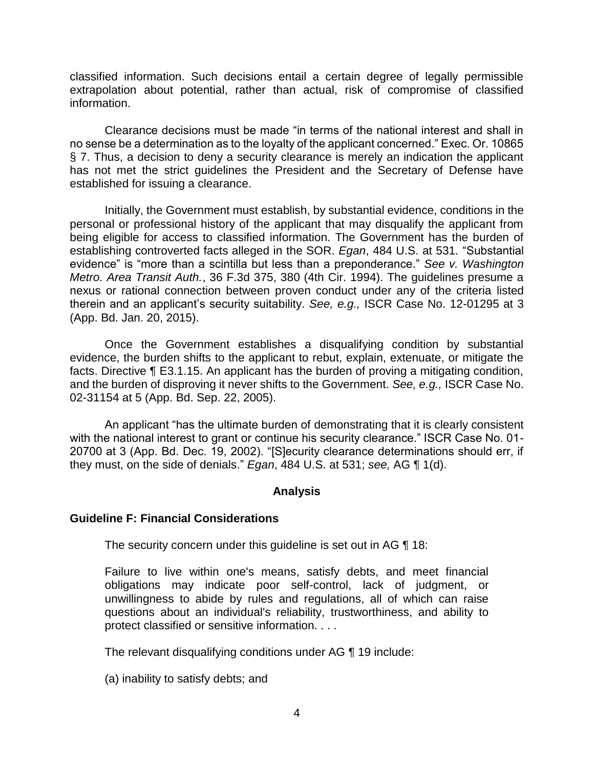classified information. Such decisions entail a certain degree of legally permissible extrapolation about potential, rather than actual, risk of compromise of classified information.

 Clearance decisions must be made "in terms of the national interest and shall in no sense be a determination as to the loyalty of the applicant concerned." Exec. Or. 10865 § 7. Thus, a decision to deny a security clearance is merely an indication the applicant has not met the strict guidelines the President and the Secretary of Defense have established for issuing a clearance.

 Initially, the Government must establish, by substantial evidence, conditions in the personal or professional history of the applicant that may disqualify the applicant from being eligible for access to classified information. The Government has the burden of establishing controverted facts alleged in the SOR. *Egan*, 484 U.S. at 531. "Substantial evidence" is "more than a scintilla but less than a preponderance." *See v. Washington Metro. Area Transit Auth.*, 36 F.3d 375, 380 (4th Cir. 1994). The guidelines presume a nexus or rational connection between proven conduct under any of the criteria listed therein and an applicant's security suitability. *See, e.g.,* ISCR Case No. 12-01295 at 3 (App. Bd. Jan. 20, 2015).

 Once the Government establishes a disqualifying condition by substantial evidence, the burden shifts to the applicant to rebut, explain, extenuate, or mitigate the facts. Directive ¶ E3.1.15. An applicant has the burden of proving a mitigating condition, and the burden of disproving it never shifts to the Government. *See, e.g.,* ISCR Case No. 02-31154 at 5 (App. Bd. Sep. 22, 2005).

An applicant "has the ultimate burden of demonstrating that it is clearly consistent with the national interest to grant or continue his security clearance." ISCR Case No. 01-20700 at 3 (App. Bd. Dec. 19, 2002). "[S]ecurity clearance determinations should err, if they must, on the side of denials." *Egan*, 484 U.S. at 531; *see,* AG ¶ 1(d).

## **Analysis**

## **Guideline F: Financial Considerations**

The security concern under this guideline is set out in AG ¶ 18:

Failure to live within one's means, satisfy debts, and meet financial obligations may indicate poor self-control, lack of judgment, or unwillingness to abide by rules and regulations, all of which can raise questions about an individual's reliability, trustworthiness, and ability to protect classified or sensitive information. . . .

The relevant disqualifying conditions under AG ¶ 19 include:

(a) inability to satisfy debts; and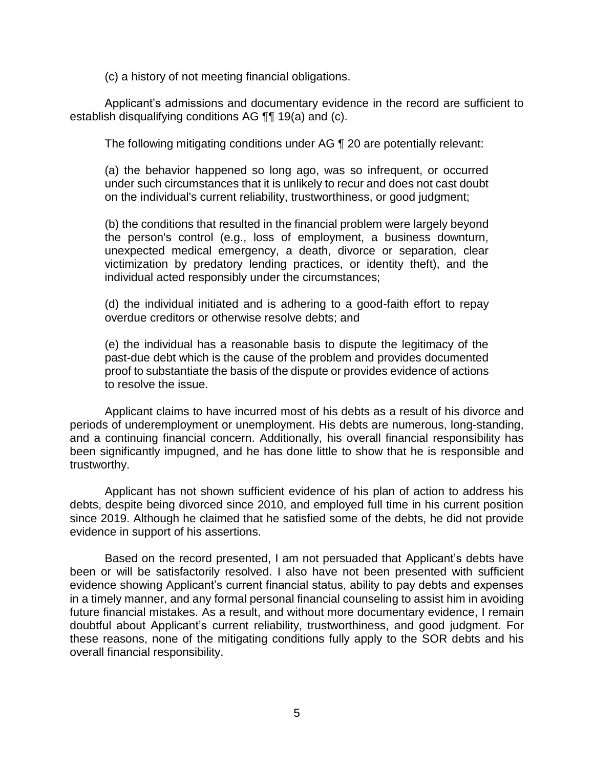(c) a history of not meeting financial obligations.

 Applicant's admissions and documentary evidence in the record are sufficient to establish disqualifying conditions AG ¶¶ 19(a) and (c).

The following mitigating conditions under AG ¶ 20 are potentially relevant:

(a) the behavior happened so long ago, was so infrequent, or occurred under such circumstances that it is unlikely to recur and does not cast doubt on the individual's current reliability, trustworthiness, or good judgment;

(b) the conditions that resulted in the financial problem were largely beyond the person's control (e.g., loss of employment, a business downturn, unexpected medical emergency, a death, divorce or separation, clear victimization by predatory lending practices, or identity theft), and the individual acted responsibly under the circumstances;

(d) the individual initiated and is adhering to a good-faith effort to repay overdue creditors or otherwise resolve debts; and

(e) the individual has a reasonable basis to dispute the legitimacy of the past-due debt which is the cause of the problem and provides documented proof to substantiate the basis of the dispute or provides evidence of actions to resolve the issue.

 Applicant claims to have incurred most of his debts as a result of his divorce and and a continuing financial concern. Additionally, his overall financial responsibility has been significantly impugned, and he has done little to show that he is responsible and periods of underemployment or unemployment. His debts are numerous, long-standing, trustworthy.

 Applicant has not shown sufficient evidence of his plan of action to address his debts, despite being divorced since 2010, and employed full time in his current position since 2019. Although he claimed that he satisfied some of the debts, he did not provide evidence in support of his assertions.

 Based on the record presented, I am not persuaded that Applicant's debts have been or will be satisfactorily resolved. I also have not been presented with sufficient evidence showing Applicant's current financial status, ability to pay debts and expenses in a timely manner, and any formal personal financial counseling to assist him in avoiding these reasons, none of the mitigating conditions fully apply to the SOR debts and his future financial mistakes. As a result, and without more documentary evidence, I remain doubtful about Applicant's current reliability, trustworthiness, and good judgment. For overall financial responsibility.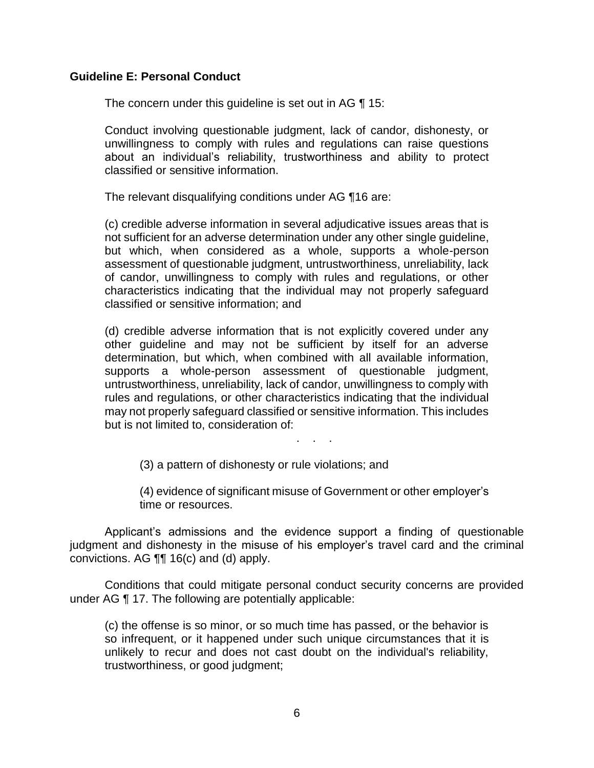#### **Guideline E: Personal Conduct**

The concern under this guideline is set out in AG ¶ 15:

 Conduct involving questionable judgment, lack of candor, dishonesty, or unwillingness to comply with rules and regulations can raise questions about an individual's reliability, trustworthiness and ability to protect classified or sensitive information.

The relevant disqualifying conditions under AG ¶16 are:

(c) credible adverse information in several adjudicative issues areas that is not sufficient for an adverse determination under any other single guideline, but which, when considered as a whole, supports a whole-person assessment of questionable judgment, untrustworthiness, unreliability, lack of candor, unwillingness to comply with rules and regulations, or other characteristics indicating that the individual may not properly safeguard classified or sensitive information; and

(d) credible adverse information that is not explicitly covered under any other guideline and may not be sufficient by itself for an adverse determination, but which, when combined with all available information, supports a whole-person assessment of questionable judgment, untrustworthiness, unreliability, lack of candor, unwillingness to comply with rules and regulations, or other characteristics indicating that the individual may not properly safeguard classified or sensitive information. This includes but is not limited to, consideration of:

. . .

(3) a pattern of dishonesty or rule violations; and

(4) evidence of significant misuse of Government or other employer's time or resources.

 Applicant's admissions and the evidence support a finding of questionable judgment and dishonesty in the misuse of his employer's travel card and the criminal convictions. AG ¶¶ 16(c) and (d) apply.

 Conditions that could mitigate personal conduct security concerns are provided under AG ¶ 17. The following are potentially applicable:

(c) the offense is so minor, or so much time has passed, or the behavior is so infrequent, or it happened under such unique circumstances that it is unlikely to recur and does not cast doubt on the individual's reliability, trustworthiness, or good judgment;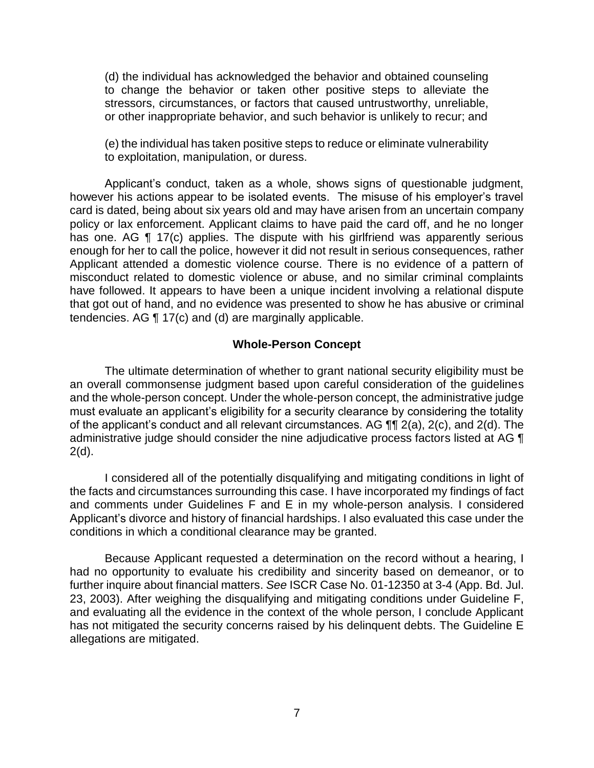(d) the individual has acknowledged the behavior and obtained counseling to change the behavior or taken other positive steps to alleviate the stressors, circumstances, or factors that caused untrustworthy, unreliable, or other inappropriate behavior, and such behavior is unlikely to recur; and

(e) the individual has taken positive steps to reduce or eliminate vulnerability to exploitation, manipulation, or duress.

 Applicant's conduct, taken as a whole, shows signs of questionable judgment, however his actions appear to be isolated events. The misuse of his employer's travel card is dated, being about six years old and may have arisen from an uncertain company policy or lax enforcement. Applicant claims to have paid the card off, and he no longer has one. AG ¶ 17(c) applies. The dispute with his girlfriend was apparently serious enough for her to call the police, however it did not result in serious consequences, rather Applicant attended a domestic violence course. There is no evidence of a pattern of misconduct related to domestic violence or abuse, and no similar criminal complaints have followed. It appears to have been a unique incident involving a relational dispute that got out of hand, and no evidence was presented to show he has abusive or criminal tendencies. AG ¶ 17(c) and (d) are marginally applicable.

#### **Whole-Person Concept**

 The ultimate determination of whether to grant national security eligibility must be an overall commonsense judgment based upon careful consideration of the guidelines and the whole-person concept. Under the whole-person concept, the administrative judge must evaluate an applicant's eligibility for a security clearance by considering the totality of the applicant's conduct and all relevant circumstances. AG  $\P\P$  2(a), 2(c), and 2(d). The administrative judge should consider the nine adjudicative process factors listed at AG ¶  $2(d)$ .

 I considered all of the potentially disqualifying and mitigating conditions in light of the facts and circumstances surrounding this case. I have incorporated my findings of fact Applicant's divorce and history of financial hardships. I also evaluated this case under the and comments under Guidelines F and E in my whole-person analysis. I considered conditions in which a conditional clearance may be granted.

 Because Applicant requested a determination on the record without a hearing, I had no opportunity to evaluate his credibility and sincerity based on demeanor, or to further inquire about financial matters. *See* ISCR Case No. 01-12350 at 3-4 (App. Bd. Jul. 23, 2003). After weighing the disqualifying and mitigating conditions under Guideline F, and evaluating all the evidence in the context of the whole person, I conclude Applicant has not mitigated the security concerns raised by his delinquent debts. The Guideline E allegations are mitigated.